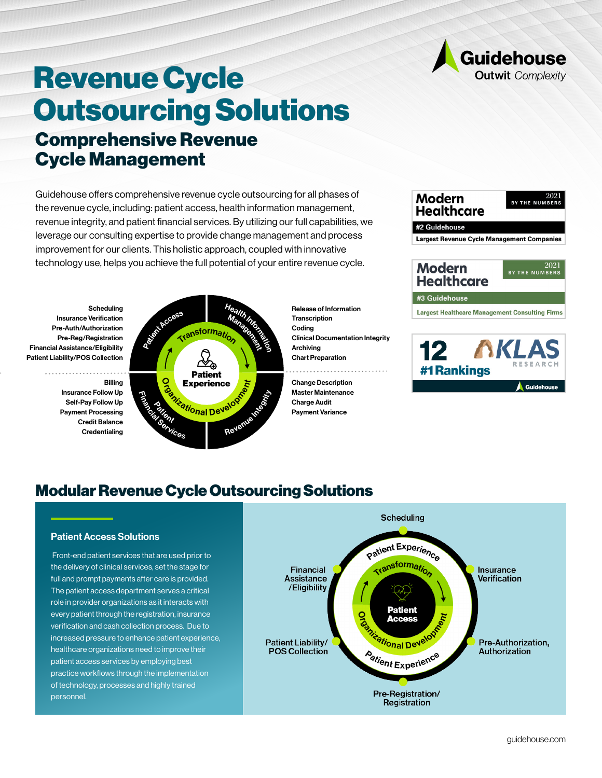

# Comprehensive Revenue Cycle Management Revenue Cycle Outsourcing Solutions

Guidehouse offers comprehensive revenue cycle outsourcing for all phases of the revenue cycle, including: patient access, health information management, revenue integrity, and patient financial services. By utilizing our full capabilities, we leverage our consulting expertise to provide change management and process improvement for our clients. This holistic approach, coupled with innovative technology use, helps you achieve the full potential of your entire revenue cycle.

**Scheduling** Insurance Verification Pre-Auth/Authorization Pre-Reg/Registration Financial Assistance/Eligibility Patient Liability/POS Collection

> Billing Insurance Follow Up Self-Pay Follow Up Payment Processing Credit Balance **Credentialing**



Release of Information **Transcription** Coding Clinical Documentation Integrity Archiving Chart Preparation

Change Description Master Maintenance Charge Audit Payment Variance



# Modular Revenue Cycle Outsourcing Solutions

## Patient Access Solutions

 Front-end patient services that are used prior to the delivery of clinical services, set the stage for full and prompt payments after care is provided. The patient access department serves a critical role in provider organizations as it interacts with every patient through the registration, insurance verification and cash collection process. Due to increased pressure to enhance patient experience, healthcare organizations need to improve their patient access services by employing best practice workflows through the implementation of technology, processes and highly trained personnel.